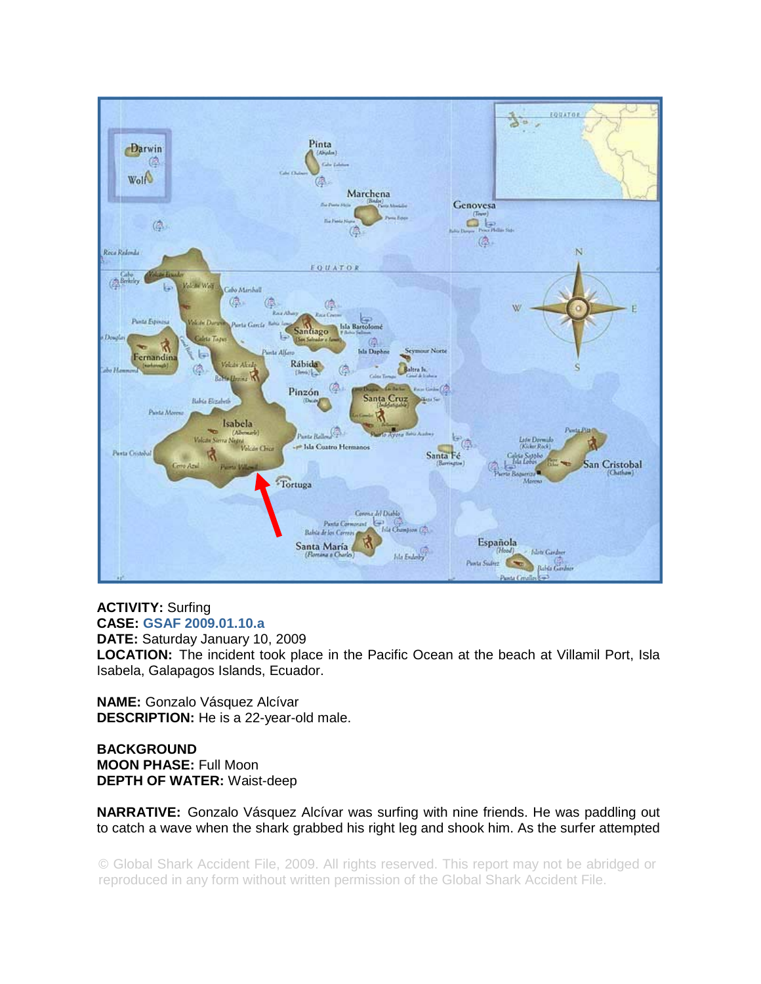

## **ACTIVITY:** Surfing **CASE: GSAF 2009.01.10.a**

**DATE:** Saturday January 10, 2009 **LOCATION:** The incident took place in the Pacific Ocean at the beach at Villamil Port, Isla Isabela, Galapagos Islands, Ecuador.

**NAME:** Gonzalo Vásquez Alcívar **DESCRIPTION:** He is a 22-year-old male.

**BACKGROUND MOON PHASE:** Full Moon **DEPTH OF WATER:** Waist-deep

**NARRATIVE:** Gonzalo Vásquez Alcívar was surfing with nine friends. He was paddling out to catch a wave when the shark grabbed his right leg and shook him. As the surfer attempted

© Global Shark Accident File, 2009. All rights reserved. This report may not be abridged or reproduced in any form without written permission of the Global Shark Accident File.